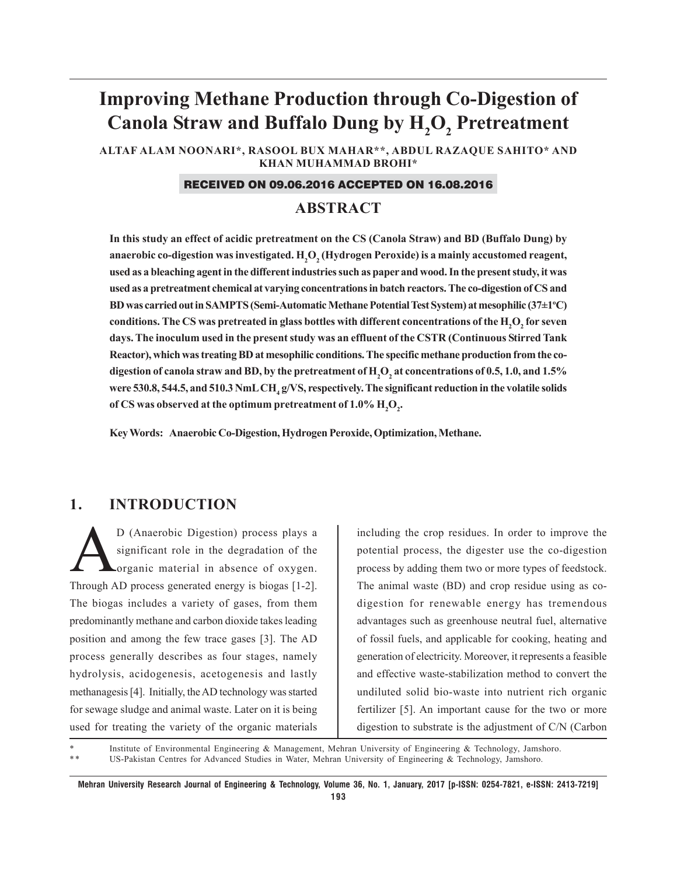# **Improving Methane Production through Co-Digestion of** Canola Straw and Buffalo Dung by  $\mathrm{H}_{2}\mathrm{O}_{2}$  Pretreatment

**ALTAF ALAM NOONARI\*, RASOOL BUX MAHAR\*\*, ABDUL RAZAQUE SAHITO\* AND KHAN MUHAMMAD BROHI\***

#### RECEIVED ON 09.06.2016 ACCEPTED ON 16.08.2016

## **ABSTRACT**

**In this study an effect of acidic pretreatment on the CS (Canola Straw) and BD (Buffalo Dung) by** anaerobic co-digestion was investigated.  $\mathrm{H}_{2}\mathrm{O}_{2}$  (Hydrogen Peroxide) is a mainly accustomed reagent, **used as a bleaching agent in the different industries such as paper and wood. In the present study, it was used as a pretreatment chemical at varying concentrations in batch reactors. The co-digestion of CS and BD was carried out in SAMPTS (Semi-Automatic Methane Potential Test System) at mesophilic (37±1o C)** conditions. The CS was pretreated in glass bottles with different concentrations of the  $\rm H_2O_2$  for seven **days. The inoculum used in the present study was an effluent of the CSTR (Continuous Stirred Tank Reactor), which was treating BD at mesophilic conditions. The specific methane production from the co**digestion of canola straw and BD, by the pretreatment of  $\rm{H}_{2}\rm{O}_{2}$  at concentrations of 0.5, 1.0, and 1.5% were 530.8, 544.5, and 510.3 NmL CH<sub>4</sub> g/VS, respectively. The significant reduction in the volatile solids of CS was observed at the optimum pretreatment of  $1.0\%$   $\mathrm{H}_2\mathrm{O}_2$ .

**Key Words: Anaerobic Co-Digestion, Hydrogen Peroxide, Optimization, Methane.**

## **1. INTRODUCTION**

D (Anaerobic Digestion) process plays a significant role in the degradation of the organic material in absence of oxygen. significant role in the degradation of the organic material in absence of oxygen. Through AD process generated energy is biogas [1-2]. The biogas includes a variety of gases, from them predominantly methane and carbon dioxide takes leading position and among the few trace gases [3]. The AD process generally describes as four stages, namely hydrolysis, acidogenesis, acetogenesis and lastly methanagesis [4]. Initially, the AD technology was started for sewage sludge and animal waste. Later on it is being used for treating the variety of the organic materials

including the crop residues. In order to improve the potential process, the digester use the co-digestion process by adding them two or more types of feedstock. The animal waste (BD) and crop residue using as codigestion for renewable energy has tremendous advantages such as greenhouse neutral fuel, alternative of fossil fuels, and applicable for cooking, heating and generation of electricity. Moreover, it represents a feasible and effective waste-stabilization method to convert the undiluted solid bio-waste into nutrient rich organic fertilizer [5]. An important cause for the two or more digestion to substrate is the adjustment of C/N (Carbon

Institute of Environmental Engineering & Management, Mehran University of Engineering & Technology, Jamshoro. \* \* US-Pakistan Centres for Advanced Studies in Water, Mehran University of Engineering & Technology, Jamshoro.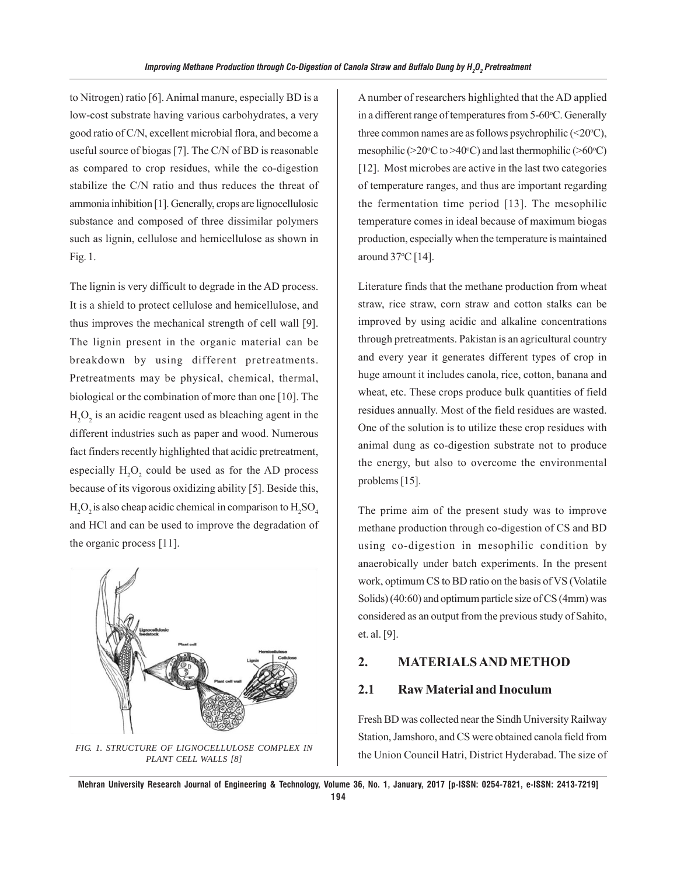to Nitrogen) ratio [6]. Animal manure, especially BD is a low-cost substrate having various carbohydrates, a very good ratio of C/N, excellent microbial flora, and become a useful source of biogas [7]. The C/N of BD is reasonable as compared to crop residues, while the co-digestion stabilize the C/N ratio and thus reduces the threat of ammonia inhibition [1]. Generally, crops are lignocellulosic substance and composed of three dissimilar polymers such as lignin, cellulose and hemicellulose as shown in Fig. 1.

The lignin is very difficult to degrade in the AD process. It is a shield to protect cellulose and hemicellulose, and thus improves the mechanical strength of cell wall [9]. The lignin present in the organic material can be breakdown by using different pretreatments. Pretreatments may be physical, chemical, thermal, biological or the combination of more than one [10]. The  $H_2O_2$  is an acidic reagent used as bleaching agent in the different industries such as paper and wood. Numerous fact finders recently highlighted that acidic pretreatment, especially  $H_2O_2$  could be used as for the AD process because of its vigorous oxidizing ability [5]. Beside this,  $\rm H_2O_2$  is also cheap acidic chemical in comparison to  $\rm H_2SO_4$ and HCl and can be used to improve the degradation of the organic process [11].



*PLANT CELL WALLS [8]*

A number of researchers highlighted that the AD applied in a different range of temperatures from 5-60°C. Generally three common names are as follows psychrophilic  $(\leq 20^{\circ}C)$ , mesophilic (>20 $\rm ^oC$  to >40 $\rm ^oC$ ) and last thermophilic (>60 $\rm ^oC$ ) [12]. Most microbes are active in the last two categories of temperature ranges, and thus are important regarding the fermentation time period [13]. The mesophilic temperature comes in ideal because of maximum biogas production, especially when the temperature is maintained around 37 °C [14].

Literature finds that the methane production from wheat straw, rice straw, corn straw and cotton stalks can be improved by using acidic and alkaline concentrations through pretreatments. Pakistan is an agricultural country and every year it generates different types of crop in huge amount it includes canola, rice, cotton, banana and wheat, etc. These crops produce bulk quantities of field residues annually. Most of the field residues are wasted. One of the solution is to utilize these crop residues with animal dung as co-digestion substrate not to produce the energy, but also to overcome the environmental problems [15].

The prime aim of the present study was to improve methane production through co-digestion of CS and BD using co-digestion in mesophilic condition by anaerobically under batch experiments. In the present work, optimum CS to BD ratio on the basis of VS (Volatile Solids) (40:60) and optimum particle size of CS (4mm) was considered as an output from the previous study of Sahito, et. al. [9].

## **2. MATERIALS AND METHOD**

#### **2.1 Raw Material and Inoculum**

Fresh BD was collected near the Sindh University Railway Station, Jamshoro, and CS were obtained canola field from the Union Council Hatri, District Hyderabad. The size of *FIG. 1. STRUCTURE OF LIGNOCELLULOSE COMPLEX IN*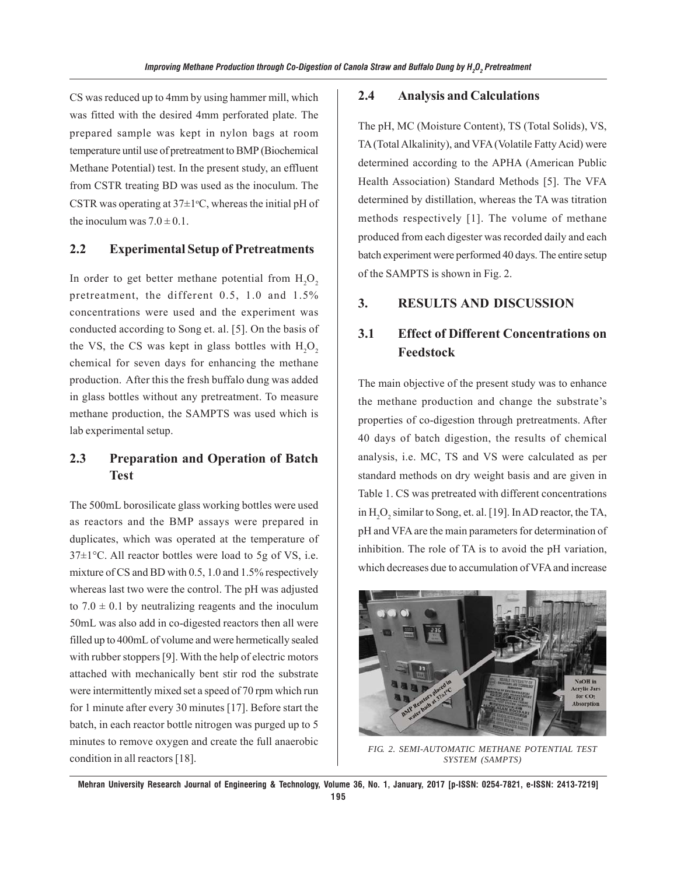CS was reduced up to 4mm by using hammer mill, which was fitted with the desired 4mm perforated plate. The prepared sample was kept in nylon bags at room temperature until use of pretreatment to BMP (Biochemical Methane Potential) test. In the present study, an effluent from CSTR treating BD was used as the inoculum. The CSTR was operating at  $37\pm1$ °C, whereas the initial pH of the inoculum was  $7.0 \pm 0.1$ .

#### **2.2 Experimental Setup of Pretreatments**

In order to get better methane potential from  $\mathrm{H}_{2}\mathrm{O}_{2}$ pretreatment, the different 0.5, 1.0 and 1.5% concentrations were used and the experiment was conducted according to Song et. al. [5]. On the basis of the VS, the CS was kept in glass bottles with  $H_2O_2$ chemical for seven days for enhancing the methane production. After this the fresh buffalo dung was added in glass bottles without any pretreatment. To measure methane production, the SAMPTS was used which is lab experimental setup.

# **2.3 Preparation and Operation of Batch Test**

The 500mL borosilicate glass working bottles were used as reactors and the BMP assays were prepared in duplicates, which was operated at the temperature of  $37\pm1$ °C. All reactor bottles were load to 5g of VS, i.e. mixture of CS and BD with 0.5, 1.0 and 1.5% respectively whereas last two were the control. The pH was adjusted to  $7.0 \pm 0.1$  by neutralizing reagents and the inoculum 50mL was also add in co-digested reactors then all were filled up to 400mL of volume and were hermetically sealed with rubber stoppers [9]. With the help of electric motors attached with mechanically bent stir rod the substrate were intermittently mixed set a speed of 70 rpm which run for 1 minute after every 30 minutes [17]. Before start the batch, in each reactor bottle nitrogen was purged up to 5 minutes to remove oxygen and create the full anaerobic condition in all reactors [18].

#### **2.4 Analysis and Calculations**

The pH, MC (Moisture Content), TS (Total Solids), VS, TA (Total Alkalinity), and VFA (Volatile Fatty Acid) were determined according to the APHA (American Public Health Association) Standard Methods [5]. The VFA determined by distillation, whereas the TA was titration methods respectively [1]. The volume of methane produced from each digester was recorded daily and each batch experiment were performed 40 days. The entire setup of the SAMPTS is shown in Fig. 2.

## **3. RESULTS AND DISCUSSION**

# **3.1 Effect of Different Concentrations on Feedstock**

The main objective of the present study was to enhance the methane production and change the substrate's properties of co-digestion through pretreatments. After 40 days of batch digestion, the results of chemical analysis, i.e. MC, TS and VS were calculated as per standard methods on dry weight basis and are given in Table 1. CS was pretreated with different concentrations in  $H_2O_2$  similar to Song, et. al. [19]. In AD reactor, the TA, pH and VFA are the main parameters for determination of inhibition. The role of TA is to avoid the pH variation, which decreases due to accumulation of VFA and increase



*FIG. 2. SEMI-AUTOMATIC METHANE POTENTIAL TEST SYSTEM (SAMPTS)*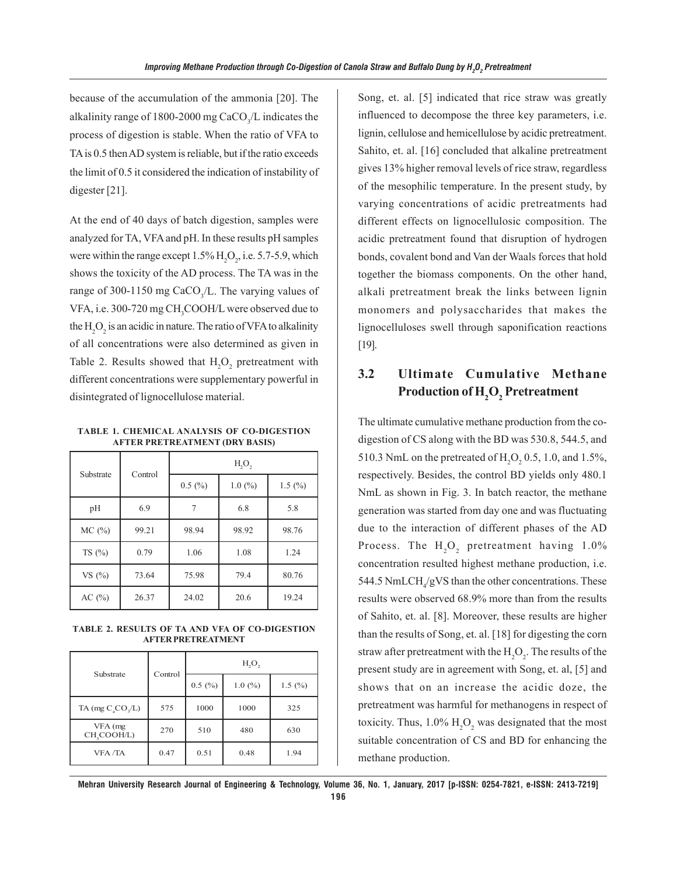because of the accumulation of the ammonia [20]. The alkalinity range of 1800-2000 mg CaCO<sub>3</sub>/L indicates the process of digestion is stable. When the ratio of VFA to TA is 0.5 then AD system is reliable, but if the ratio exceeds the limit of 0.5 it considered the indication of instability of digester [21].

At the end of 40 days of batch digestion, samples were analyzed for TA, VFA and pH. In these results pH samples were within the range except  $1.5\%$  H<sub>2</sub>O<sub>2</sub>, i.e. 5.7-5.9, which shows the toxicity of the AD process. The TA was in the range of 300-1150 mg CaCO<sub>3</sub>/L. The varying values of VFA, i.e. 300-720 mg CH<sub>3</sub>COOH/L were observed due to the  $\mathrm{H}_{2}\mathrm{O}_{2}$  is an acidic in nature. The ratio of VFA to alkalinity of all concentrations were also determined as given in Table 2. Results showed that  $H_2O_2$  pretreatment with different concentrations were supplementary powerful in disintegrated of lignocellulose material.

**TABLE 1. CHEMICAL ANALYSIS OF CO-DIGESTION AFTER PRETREATMENT (DRY BASIS)**

| Substrate  | Control | H <sub>2</sub> O <sub>2</sub> |        |                     |
|------------|---------|-------------------------------|--------|---------------------|
|            |         | 0.5(%)                        | 1.0(%) | 1.5 $(\frac{9}{0})$ |
| pH         | 6.9     |                               | 6.8    | 5.8                 |
| MC(%)      | 99.21   | 98.94                         | 98.92  | 98.76               |
| TS $(\%)$  | 0.79    | 1.06                          | 1.08   | 1.24                |
| VS $(\% )$ | 73.64   | 75.98                         | 79.4   | 80.76               |
| AC $(%)$   | 26.37   | 24.02                         | 20.6   | 19.24               |

**TABLE 2. RESULTS OF TA AND VFA OF CO-DIGESTION AFTER PRETREATMENT**

| Substrate                          | Control | H <sub>2</sub> O <sub>2</sub> |        |            |
|------------------------------------|---------|-------------------------------|--------|------------|
|                                    |         | 0.5(%)                        | 1.0(%) | 1.5 $(\%)$ |
| TA (mg $C_{\alpha}CO_{\alpha}/L$ ) | 575     | 1000                          | 1000   | 325        |
| VFA (mg<br>CH, COOH/L)             | 270     | 510                           | 480    | 630        |
| <b>VFA</b> /TA                     | 0.47    | 0.51                          | 0.48   | 1.94       |

Song, et. al. [5] indicated that rice straw was greatly influenced to decompose the three key parameters, i.e. lignin, cellulose and hemicellulose by acidic pretreatment. Sahito, et. al. [16] concluded that alkaline pretreatment gives 13% higher removal levels of rice straw, regardless of the mesophilic temperature. In the present study, by varying concentrations of acidic pretreatments had different effects on lignocellulosic composition. The acidic pretreatment found that disruption of hydrogen bonds, covalent bond and Van der Waals forces that hold together the biomass components. On the other hand, alkali pretreatment break the links between lignin monomers and polysaccharides that makes the lignocelluloses swell through saponification reactions [19].

# **3.2 Ultimate Cumulative Methane Production of H2 O2 Pretreatment**

The ultimate cumulative methane production from the codigestion of CS along with the BD was 530.8, 544.5, and 510.3 NmL on the pretreated of  $H_2O_2$  0.5, 1.0, and 1.5%, respectively. Besides, the control BD yields only 480.1 NmL as shown in Fig. 3. In batch reactor, the methane generation was started from day one and was fluctuating due to the interaction of different phases of the AD Process. The  $H_2O_2$  pretreatment having 1.0% concentration resulted highest methane production, i.e. 544.5 NmLCH $_4$ /gVS than the other concentrations. These results were observed 68.9% more than from the results of Sahito, et. al. [8]. Moreover, these results are higher than the results of Song, et. al. [18] for digesting the corn straw after pretreatment with the  $\mathrm{H}_{2}\mathrm{O}_{2}$ . The results of the present study are in agreement with Song, et. al, [5] and shows that on an increase the acidic doze, the pretreatment was harmful for methanogens in respect of toxicity. Thus,  $1.0\%$   $H_2O_2$  was designated that the most suitable concentration of CS and BD for enhancing the methane production.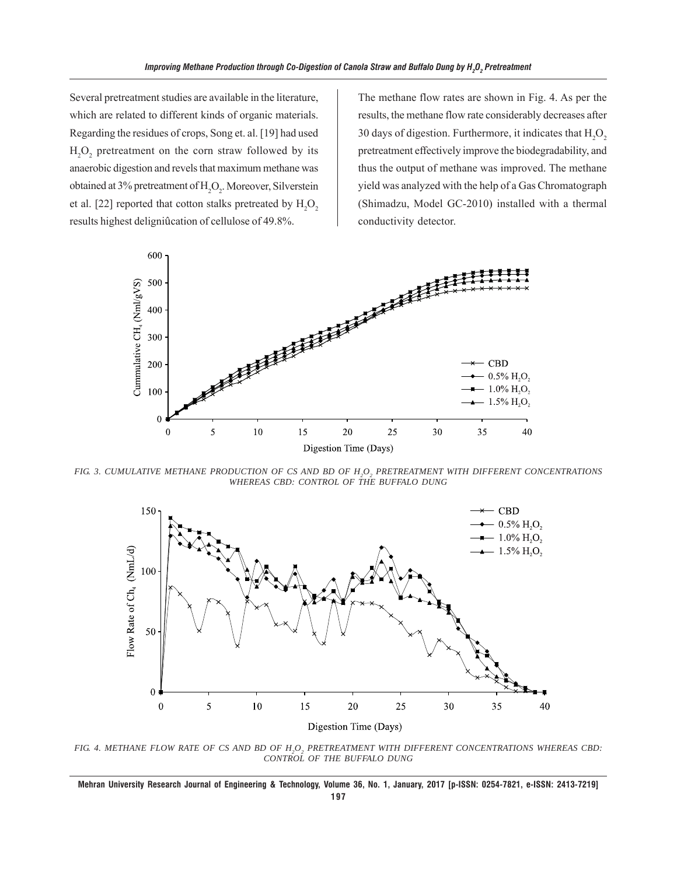Several pretreatment studies are available in the literature, which are related to different kinds of organic materials. Regarding the residues of crops, Song et. al. [19] had used  $H_2O_2$  pretreatment on the corn straw followed by its anaerobic digestion and revels that maximum methane was obtained at 3% pretreatment of  $H_2O_2$ . Moreover, Silverstein et al. [22] reported that cotton stalks pretreated by  ${\rm H_2O}_{_2}$ results highest deligniûcation of cellulose of 49.8%.

The methane flow rates are shown in Fig. 4. As per the results, the methane flow rate considerably decreases after 30 days of digestion. Furthermore, it indicates that  $H_2O_2$ pretreatment effectively improve the biodegradability, and thus the output of methane was improved. The methane yield was analyzed with the help of a Gas Chromatograph (Shimadzu, Model GC-2010) installed with a thermal conductivity detector.



FIG. 3. CUMULATIVE METHANE PRODUCTION OF CS AND BD OF H<sub>2</sub>O<sub>2</sub> PRETREATMENT WITH DIFFERENT CONCENTRATIONS *WHEREAS CBD: CONTROL OF THE BUFFALO DUNG*



FIG. 4. METHANE FLOW RATE OF CS AND BD OF H<sub>2</sub>O<sub>2</sub> PRETREATMENT WITH DIFFERENT CONCENTRATIONS WHEREAS CBD: *CONTROL OF THE BUFFALO DUNG*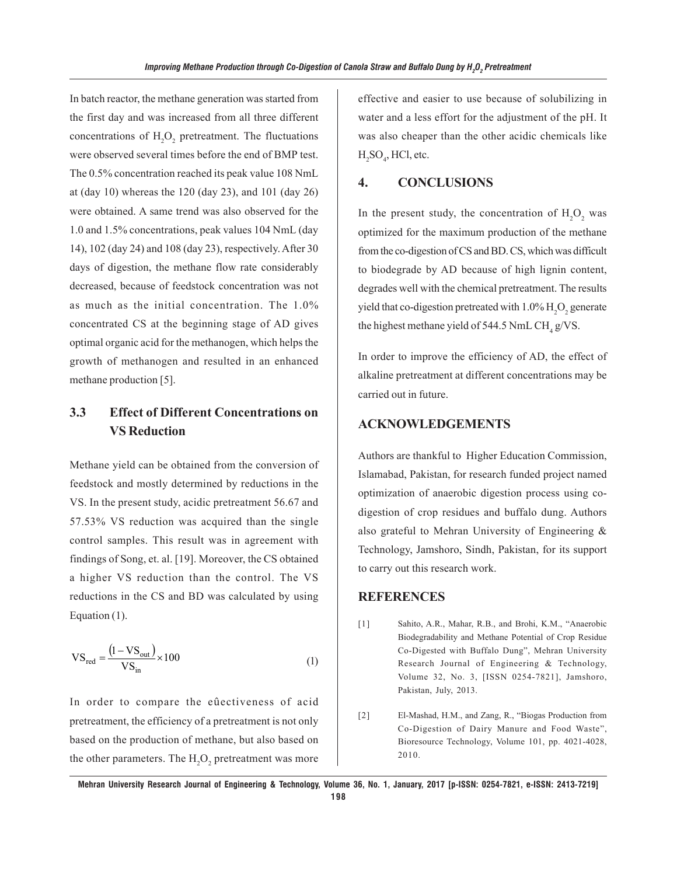In batch reactor, the methane generation was started from the first day and was increased from all three different concentrations of  $H_2O_2$  pretreatment. The fluctuations were observed several times before the end of BMP test. The 0.5% concentration reached its peak value 108 NmL at (day 10) whereas the 120 (day 23), and 101 (day 26) were obtained. A same trend was also observed for the 1.0 and 1.5% concentrations, peak values 104 NmL (day 14), 102 (day 24) and 108 (day 23), respectively. After 30 days of digestion, the methane flow rate considerably decreased, because of feedstock concentration was not as much as the initial concentration. The 1.0% concentrated CS at the beginning stage of AD gives optimal organic acid for the methanogen, which helps the growth of methanogen and resulted in an enhanced methane production [5].

# **3.3 Effect of Different Concentrations on VS Reduction**

Methane yield can be obtained from the conversion of feedstock and mostly determined by reductions in the VS. In the present study, acidic pretreatment 56.67 and 57.53% VS reduction was acquired than the single control samples. This result was in agreement with findings of Song, et. al. [19]. Moreover, the CS obtained a higher VS reduction than the control. The VS reductions in the CS and BD was calculated by using Equation (1).

$$
VS_{\text{red}} = \frac{(1 - VS_{\text{out}})}{VS_{\text{in}}} \times 100
$$
 (1)

In order to compare the eûectiveness of acid pretreatment, the efficiency of a pretreatment is not only based on the production of methane, but also based on the other parameters. The  $\mathrm{H}_{2}\mathrm{O}_{2}$  pretreatment was more

effective and easier to use because of solubilizing in water and a less effort for the adjustment of the pH. It was also cheaper than the other acidic chemicals like  $H_2SO_4$ , HCl, etc.

#### **4. CONCLUSIONS**

In the present study, the concentration of  $H_2O_2$  was optimized for the maximum production of the methane from the co-digestion of CS and BD. CS, which was difficult to biodegrade by AD because of high lignin content, degrades well with the chemical pretreatment. The results yield that co-digestion pretreated with  $1.0\%$   $\mathrm{H}_2\mathrm{O}_2$  generate the highest methane yield of 544.5 NmL  $\text{CH}_4$  g/VS.

In order to improve the efficiency of AD, the effect of alkaline pretreatment at different concentrations may be carried out in future.

#### **ACKNOWLEDGEMENTS**

Authors are thankful to Higher Education Commission, Islamabad, Pakistan, for research funded project named optimization of anaerobic digestion process using codigestion of crop residues and buffalo dung. Authors also grateful to Mehran University of Engineering & Technology, Jamshoro, Sindh, Pakistan, for its support to carry out this research work.

#### **REFERENCES**

- [1] Sahito, A.R., Mahar, R.B., and Brohi, K.M., "Anaerobic Biodegradability and Methane Potential of Crop Residue Co-Digested with Buffalo Dung", Mehran University Research Journal of Engineering & Technology, Volume 32, No. 3, [ISSN 0254-7821], Jamshoro, Pakistan, July, 2013.
- [2] El-Mashad, H.M., and Zang, R., "Biogas Production from Co-Digestion of Dairy Manure and Food Waste", Bioresource Technology, Volume 101, pp. 4021-4028, 2010.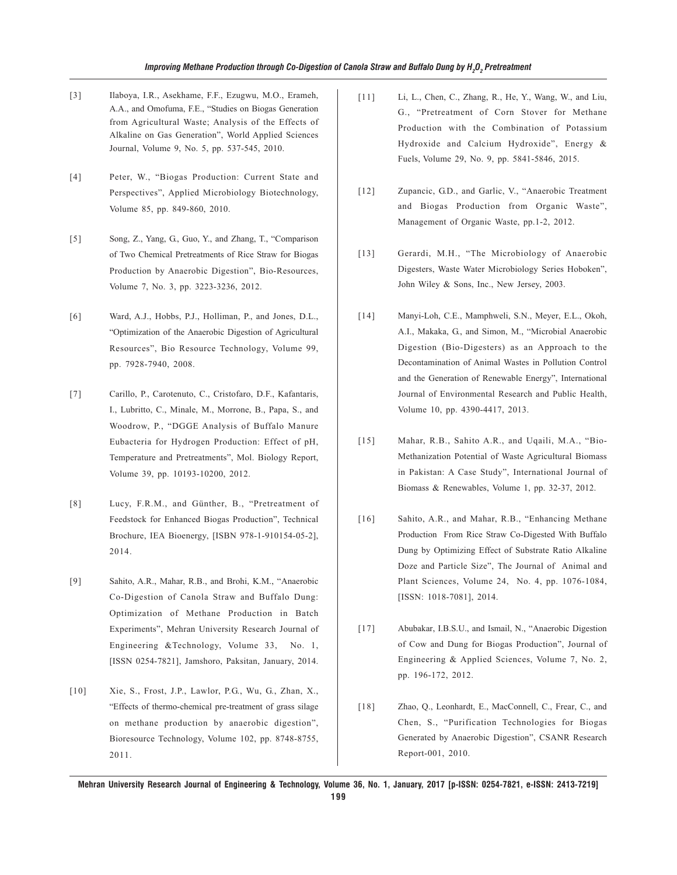- [3] Ilaboya, I.R., Asekhame, F.F., Ezugwu, M.O., Erameh, A.A., and Omofuma, F.E., "Studies on Biogas Generation from Agricultural Waste; Analysis of the Effects of Alkaline on Gas Generation", World Applied Sciences Journal, Volume 9, No. 5, pp. 537-545, 2010.
- [4] Peter, W., "Biogas Production: Current State and Perspectives", Applied Microbiology Biotechnology, Volume 85, pp. 849-860, 2010.
- [5] Song, Z., Yang, G., Guo, Y., and Zhang, T., "Comparison of Two Chemical Pretreatments of Rice Straw for Biogas Production by Anaerobic Digestion", Bio-Resources, Volume 7, No. 3, pp. 3223-3236, 2012.
- [6] Ward, A.J., Hobbs, P.J., Holliman, P., and Jones, D.L., "Optimization of the Anaerobic Digestion of Agricultural Resources", Bio Resource Technology, Volume 99, pp. 7928-7940, 2008.
- [7] Carillo, P., Carotenuto, C., Cristofaro, D.F., Kafantaris, I., Lubritto, C., Minale, M., Morrone, B., Papa, S., and Woodrow, P., "DGGE Analysis of Buffalo Manure Eubacteria for Hydrogen Production: Effect of pH, Temperature and Pretreatments", Mol. Biology Report, Volume 39, pp. 10193-10200, 2012.
- [8] Lucy, F.R.M., and Günther, B., "Pretreatment of Feedstock for Enhanced Biogas Production", Technical Brochure, IEA Bioenergy, [ISBN 978-1-910154-05-2], 2014.
- [9] Sahito, A.R., Mahar, R.B., and Brohi, K.M., "Anaerobic Co-Digestion of Canola Straw and Buffalo Dung: Optimization of Methane Production in Batch Experiments", Mehran University Research Journal of Engineering &Technology, Volume 33, No. 1, [ISSN 0254-7821], Jamshoro, Paksitan, January, 2014.
- [10] Xie, S., Frost, J.P., Lawlor, P.G., Wu, G., Zhan, X., "Effects of thermo-chemical pre-treatment of grass silage on methane production by anaerobic digestion", Bioresource Technology, Volume 102, pp. 8748-8755, 2011.
- [11] Li, L., Chen, C., Zhang, R., He, Y., Wang, W., and Liu, G., "Pretreatment of Corn Stover for Methane Production with the Combination of Potassium Hydroxide and Calcium Hydroxide", Energy & Fuels, Volume 29, No. 9, pp. 5841-5846, 2015.
- [12] Zupancic, G.D., and Garlic, V., "Anaerobic Treatment and Biogas Production from Organic Waste", Management of Organic Waste, pp.1-2, 2012.
- [13] Gerardi, M.H., "The Microbiology of Anaerobic Digesters, Waste Water Microbiology Series Hoboken", John Wiley & Sons, Inc., New Jersey, 2003.
- [14] Manyi-Loh, C.E., Mamphweli, S.N., Meyer, E.L., Okoh, A.I., Makaka, G., and Simon, M., "Microbial Anaerobic Digestion (Bio-Digesters) as an Approach to the Decontamination of Animal Wastes in Pollution Control and the Generation of Renewable Energy", International Journal of Environmental Research and Public Health, Volume 10, pp. 4390-4417, 2013.
- [15] Mahar, R.B., Sahito A.R., and Uqaili, M.A., "Bio-Methanization Potential of Waste Agricultural Biomass in Pakistan: A Case Study", International Journal of Biomass & Renewables, Volume 1, pp. 32-37, 2012.
- [16] Sahito, A.R., and Mahar, R.B., "Enhancing Methane Production From Rice Straw Co-Digested With Buffalo Dung by Optimizing Effect of Substrate Ratio Alkaline Doze and Particle Size", The Journal of Animal and Plant Sciences, Volume 24, No. 4, pp. 1076-1084, [ISSN: 1018-7081], 2014.
- [17] Abubakar, I.B.S.U., and Ismail, N., "Anaerobic Digestion of Cow and Dung for Biogas Production", Journal of Engineering & Applied Sciences, Volume 7, No. 2, pp. 196-172, 2012.
- [18] Zhao, Q., Leonhardt, E., MacConnell, C., Frear, C., and Chen, S., "Purification Technologies for Biogas Generated by Anaerobic Digestion", CSANR Research Report-001, 2010.